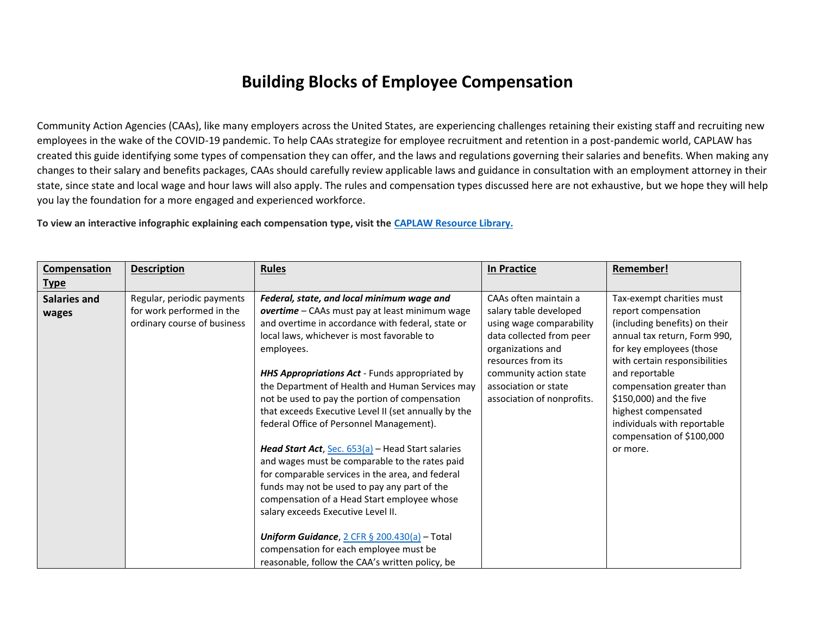## **Building Blocks of Employee Compensation**

Community Action Agencies (CAAs), like many employers across the United States, are experiencing challenges retaining their existing staff and recruiting new employees in the wake of the COVID-19 pandemic. To help CAAs strategize for employee recruitment and retention in a post-pandemic world, CAPLAW has created this guide identifying some types of compensation they can offer, and the laws and regulations governing their salaries and benefits. When making any changes to their salary and benefits packages, CAAs should carefully review applicable laws and guidance in consultation with an employment attorney in their state, since state and local wage and hour laws will also apply. The rules and compensation types discussed here are not exhaustive, but we hope they will help you lay the foundation for a more engaged and experienced workforce.

**To view an interactive infographic explaining each compensation type, visit the [CAPLAW Resource Library.](https://resources.caplaw.org/resources/building-blocks-of-employee-compensation/)**

| Compensation<br><u>Type</u> | <b>Description</b>                                                                     | <b>Rules</b>                                                                                                                                                                                                                                                                                                                                                                                                                                                                                                                                                                                                                                                                                                                                                                                                                                                                                                            | <b>In Practice</b>                                                                                                                                                                                                                 | Remember!                                                                                                                                                                                                                                                                                                                                               |
|-----------------------------|----------------------------------------------------------------------------------------|-------------------------------------------------------------------------------------------------------------------------------------------------------------------------------------------------------------------------------------------------------------------------------------------------------------------------------------------------------------------------------------------------------------------------------------------------------------------------------------------------------------------------------------------------------------------------------------------------------------------------------------------------------------------------------------------------------------------------------------------------------------------------------------------------------------------------------------------------------------------------------------------------------------------------|------------------------------------------------------------------------------------------------------------------------------------------------------------------------------------------------------------------------------------|---------------------------------------------------------------------------------------------------------------------------------------------------------------------------------------------------------------------------------------------------------------------------------------------------------------------------------------------------------|
| Salaries and<br>wages       | Regular, periodic payments<br>for work performed in the<br>ordinary course of business | Federal, state, and local minimum wage and<br>overtime - CAAs must pay at least minimum wage<br>and overtime in accordance with federal, state or<br>local laws, whichever is most favorable to<br>employees.<br>HHS Appropriations Act - Funds appropriated by<br>the Department of Health and Human Services may<br>not be used to pay the portion of compensation<br>that exceeds Executive Level II (set annually by the<br>federal Office of Personnel Management).<br>Head Start Act, Sec. 653(a) - Head Start salaries<br>and wages must be comparable to the rates paid<br>for comparable services in the area, and federal<br>funds may not be used to pay any part of the<br>compensation of a Head Start employee whose<br>salary exceeds Executive Level II.<br>Uniform Guidance, $2$ CFR § 200.430(a) - Total<br>compensation for each employee must be<br>reasonable, follow the CAA's written policy, be | CAAs often maintain a<br>salary table developed<br>using wage comparability<br>data collected from peer<br>organizations and<br>resources from its<br>community action state<br>association or state<br>association of nonprofits. | Tax-exempt charities must<br>report compensation<br>(including benefits) on their<br>annual tax return, Form 990,<br>for key employees (those<br>with certain responsibilities<br>and reportable<br>compensation greater than<br>\$150,000) and the five<br>highest compensated<br>individuals with reportable<br>compensation of \$100,000<br>or more. |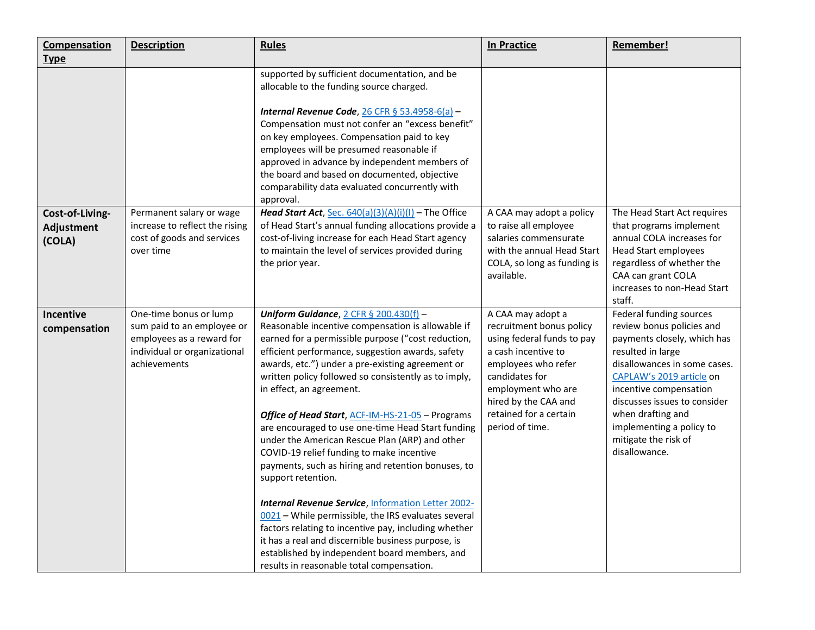| Compensation                            | <b>Description</b>                                                                                                                | <b>Rules</b>                                                                                                                                                                                                                                                                                                                                                                                                                                                                                                                                                                                                                                                                                                                                                                                                                                                                                                                                                        | <b>In Practice</b>                                                                                                                                                                                                                     | <b>Remember!</b>                                                                                                                                                                                                                                                                                                         |
|-----------------------------------------|-----------------------------------------------------------------------------------------------------------------------------------|---------------------------------------------------------------------------------------------------------------------------------------------------------------------------------------------------------------------------------------------------------------------------------------------------------------------------------------------------------------------------------------------------------------------------------------------------------------------------------------------------------------------------------------------------------------------------------------------------------------------------------------------------------------------------------------------------------------------------------------------------------------------------------------------------------------------------------------------------------------------------------------------------------------------------------------------------------------------|----------------------------------------------------------------------------------------------------------------------------------------------------------------------------------------------------------------------------------------|--------------------------------------------------------------------------------------------------------------------------------------------------------------------------------------------------------------------------------------------------------------------------------------------------------------------------|
| <b>Type</b>                             |                                                                                                                                   |                                                                                                                                                                                                                                                                                                                                                                                                                                                                                                                                                                                                                                                                                                                                                                                                                                                                                                                                                                     |                                                                                                                                                                                                                                        |                                                                                                                                                                                                                                                                                                                          |
|                                         |                                                                                                                                   | supported by sufficient documentation, and be<br>allocable to the funding source charged.<br>Internal Revenue Code, $26$ CFR § 53.4958-6(a) -<br>Compensation must not confer an "excess benefit"<br>on key employees. Compensation paid to key<br>employees will be presumed reasonable if<br>approved in advance by independent members of<br>the board and based on documented, objective<br>comparability data evaluated concurrently with<br>approval.                                                                                                                                                                                                                                                                                                                                                                                                                                                                                                         |                                                                                                                                                                                                                                        |                                                                                                                                                                                                                                                                                                                          |
| Cost-of-Living-<br>Adjustment<br>(COLA) | Permanent salary or wage<br>increase to reflect the rising<br>cost of goods and services<br>over time                             | <b>Head Start Act</b> , Sec. $640(a)(3)(A)(i)(I)$ – The Office<br>of Head Start's annual funding allocations provide a<br>cost-of-living increase for each Head Start agency<br>to maintain the level of services provided during<br>the prior year.                                                                                                                                                                                                                                                                                                                                                                                                                                                                                                                                                                                                                                                                                                                | A CAA may adopt a policy<br>to raise all employee<br>salaries commensurate<br>with the annual Head Start<br>COLA, so long as funding is<br>available.                                                                                  | The Head Start Act requires<br>that programs implement<br>annual COLA increases for<br><b>Head Start employees</b><br>regardless of whether the<br>CAA can grant COLA<br>increases to non-Head Start<br>staff.                                                                                                           |
| <b>Incentive</b><br>compensation        | One-time bonus or lump<br>sum paid to an employee or<br>employees as a reward for<br>individual or organizational<br>achievements | Uniform Guidance, $2$ CFR § 200.430(f) -<br>Reasonable incentive compensation is allowable if<br>earned for a permissible purpose ("cost reduction,<br>efficient performance, suggestion awards, safety<br>awards, etc.") under a pre-existing agreement or<br>written policy followed so consistently as to imply,<br>in effect, an agreement.<br>Office of Head Start, ACF-IM-HS-21-05 - Programs<br>are encouraged to use one-time Head Start funding<br>under the American Rescue Plan (ARP) and other<br>COVID-19 relief funding to make incentive<br>payments, such as hiring and retention bonuses, to<br>support retention.<br><b>Internal Revenue Service, Information Letter 2002-</b><br>0021 - While permissible, the IRS evaluates several<br>factors relating to incentive pay, including whether<br>it has a real and discernible business purpose, is<br>established by independent board members, and<br>results in reasonable total compensation. | A CAA may adopt a<br>recruitment bonus policy<br>using federal funds to pay<br>a cash incentive to<br>employees who refer<br>candidates for<br>employment who are<br>hired by the CAA and<br>retained for a certain<br>period of time. | Federal funding sources<br>review bonus policies and<br>payments closely, which has<br>resulted in large<br>disallowances in some cases.<br>CAPLAW's 2019 article on<br>incentive compensation<br>discusses issues to consider<br>when drafting and<br>implementing a policy to<br>mitigate the risk of<br>disallowance. |